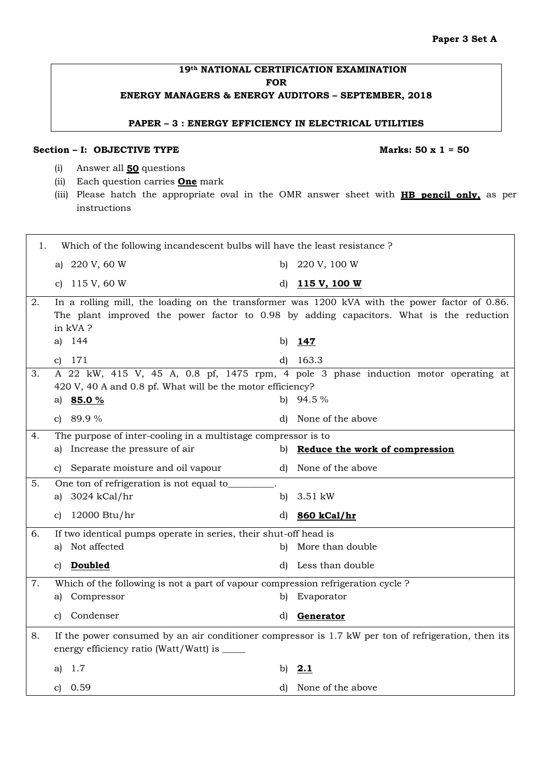٦

## **19th NATIONAL CERTIFICATION EXAMINATION FOR ENERGY MANAGERS & ENERGY AUDITORS – SEPTEMBER, 2018**

**PAPER – 3 : ENERGY EFFICIENCY IN ELECTRICAL UTILITIES** 

## Section – I: OBJECTIVE TYPE Marks: 50 x 1 = 50

- (i) Answer all **50** questions
- (ii) Each question carries **One** mark
- (iii) Please hatch the appropriate oval in the OMR answer sheet with **HB pencil only,** as per instructions

| 1. | Which of the following incandescent bulbs will have the least resistance ?       |                                                                                                                                                                                          |
|----|----------------------------------------------------------------------------------|------------------------------------------------------------------------------------------------------------------------------------------------------------------------------------------|
|    | a) 220 V, 60 W                                                                   | 220 V, 100 W<br>b)                                                                                                                                                                       |
|    | 115 V, 60 W<br>C)                                                                | d)<br>115 V, 100 W                                                                                                                                                                       |
| 2. | in kVA?                                                                          | In a rolling mill, the loading on the transformer was 1200 kVA with the power factor of 0.86.<br>The plant improved the power factor to 0.98 by adding capacitors. What is the reduction |
|    | 144<br>a)                                                                        | 147<br>b)                                                                                                                                                                                |
|    | 171<br>C)                                                                        | 163.3<br>d)                                                                                                                                                                              |
| 3. | 420 V, 40 A and 0.8 pf. What will be the motor efficiency?                       | A 22 kW, 415 V, 45 A, 0.8 pf, 1475 rpm, 4 pole 3 phase induction motor operating at                                                                                                      |
|    | a) 85.0 %                                                                        | 94.5 %<br>b)                                                                                                                                                                             |
|    | c) $89.9%$                                                                       | None of the above<br>d)                                                                                                                                                                  |
| 4. | The purpose of inter-cooling in a multistage compressor is to                    |                                                                                                                                                                                          |
|    | a) Increase the pressure of air                                                  | b) Reduce the work of compression                                                                                                                                                        |
|    | Separate moisture and oil vapour<br>C)                                           | d) None of the above                                                                                                                                                                     |
| 5. | One ton of refrigeration is not equal to_                                        |                                                                                                                                                                                          |
|    | 3024 kCal/hr<br>a)                                                               | 3.51 kW<br>b)                                                                                                                                                                            |
|    | 12000 Btu/hr<br>C)                                                               | 860 kCal/hr<br>d)                                                                                                                                                                        |
| 6. | If two identical pumps operate in series, their shut-off head is                 |                                                                                                                                                                                          |
|    | a) Not affected                                                                  | b) More than double                                                                                                                                                                      |
|    | c) Doubled                                                                       | Less than double<br>d)                                                                                                                                                                   |
| 7. | Which of the following is not a part of vapour compression refrigeration cycle ? |                                                                                                                                                                                          |
|    | Compressor<br>a)                                                                 | Evaporator<br>b)                                                                                                                                                                         |
|    | Condenser<br>C)                                                                  | Generator<br>d)                                                                                                                                                                          |
| 8. | energy efficiency ratio (Watt/Watt) is _____                                     | If the power consumed by an air conditioner compressor is 1.7 kW per ton of refrigeration, then its                                                                                      |
|    | 1.7<br>a)                                                                        | 2.1<br>b)                                                                                                                                                                                |
|    | 0.59<br>C)                                                                       | None of the above<br>d)                                                                                                                                                                  |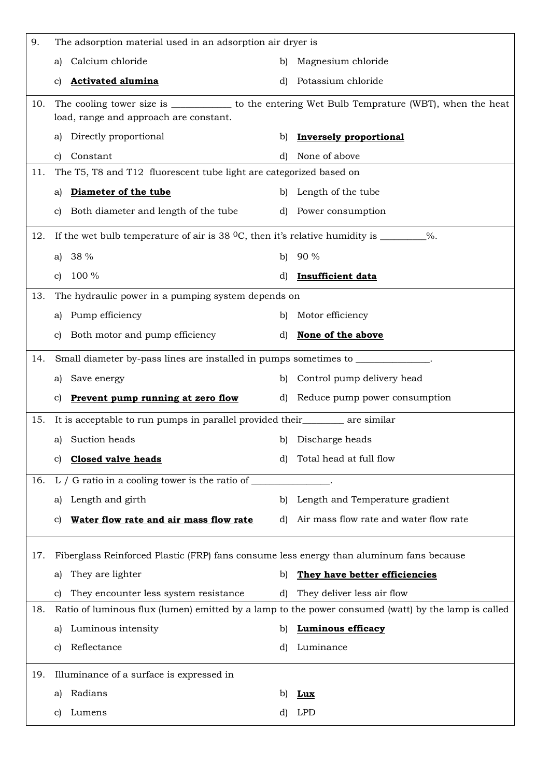| 9.  | The adsorption material used in an adsorption air dryer is                                       |                                                                                                                                         |
|-----|--------------------------------------------------------------------------------------------------|-----------------------------------------------------------------------------------------------------------------------------------------|
|     | Calcium chloride<br>a)                                                                           | Magnesium chloride<br>b)                                                                                                                |
|     | <b>Activated alumina</b><br>C)                                                                   | Potassium chloride<br>d)                                                                                                                |
| 10. |                                                                                                  | The cooling tower size is __________________ to the entering Wet Bulb Temprature (WBT), when the heat                                   |
|     | load, range and approach are constant.                                                           |                                                                                                                                         |
|     | a) Directly proportional                                                                         | <b>Inversely proportional</b><br>b)                                                                                                     |
|     | Constant<br>c)                                                                                   | None of above<br>d)                                                                                                                     |
| 11. | The T5, T8 and T12 fluorescent tube light are categorized based on                               |                                                                                                                                         |
|     | Diameter of the tube<br>a)                                                                       | b) Length of the tube                                                                                                                   |
|     | c) Both diameter and length of the tube                                                          | d) Power consumption                                                                                                                    |
| 12. | If the wet bulb temperature of air is 38 $^{\circ}$ C, then it's relative humidity is ________%. |                                                                                                                                         |
|     | a) $38\%$                                                                                        | $90\%$<br>b)                                                                                                                            |
|     | 100 %<br>$\mathbf{C}$                                                                            | Insufficient data<br>d)                                                                                                                 |
| 13. | The hydraulic power in a pumping system depends on                                               |                                                                                                                                         |
|     | Pump efficiency<br>a)                                                                            | b) Motor efficiency                                                                                                                     |
|     | Both motor and pump efficiency<br>C)                                                             | None of the above<br>d)                                                                                                                 |
| 14. | Small diameter by-pass lines are installed in pumps sometimes to _________                       |                                                                                                                                         |
|     | Save energy<br>a)                                                                                | b) Control pump delivery head                                                                                                           |
|     | <u>Prevent pump running at zero flow</u><br>C)                                                   | d) Reduce pump power consumption                                                                                                        |
| 15. | It is acceptable to run pumps in parallel provided their__________ are similar                   |                                                                                                                                         |
|     | a) Suction heads                                                                                 | b) Discharge heads                                                                                                                      |
|     | <b>Closed valve heads</b><br>C)                                                                  | Total head at full flow<br>d)                                                                                                           |
| 16. | L $/$ G ratio in a cooling tower is the ratio of $\_\_$                                          |                                                                                                                                         |
|     | Length and girth<br>al                                                                           | b) Length and Temperature gradient                                                                                                      |
|     | Water flow rate and air mass flow rate<br>C)                                                     | Air mass flow rate and water flow rate<br>d)                                                                                            |
|     |                                                                                                  |                                                                                                                                         |
| 17. | Fiberglass Reinforced Plastic (FRP) fans consume less energy than aluminum fans because          |                                                                                                                                         |
|     | They are lighter<br>a)                                                                           | They have better efficiencies<br>b)                                                                                                     |
| 18. | They encounter less system resistance<br>C)                                                      | They deliver less air flow<br>d)<br>Ratio of luminous flux (lumen) emitted by a lamp to the power consumed (watt) by the lamp is called |
|     |                                                                                                  |                                                                                                                                         |
|     | Luminous intensity<br>a)                                                                         | <b>Luminous efficacy</b><br>b)                                                                                                          |
|     | Reflectance<br>$\mathbf{c}$                                                                      | Luminance<br>d)                                                                                                                         |
| 19. | Illuminance of a surface is expressed in                                                         |                                                                                                                                         |
|     | Radians<br>a)                                                                                    | b)<br>Lux                                                                                                                               |
|     | Lumens<br>C)                                                                                     | LPD<br>d)                                                                                                                               |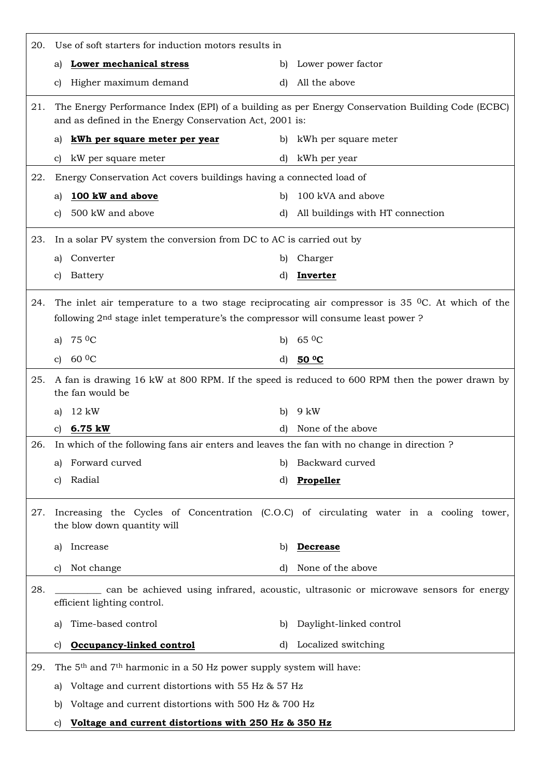| 20. | Use of soft starters for induction motors results in                                         |                                                                                                           |
|-----|----------------------------------------------------------------------------------------------|-----------------------------------------------------------------------------------------------------------|
|     | <b>Lower mechanical stress</b><br>al                                                         | Lower power factor<br>b)                                                                                  |
|     | Higher maximum demand<br>C)                                                                  | All the above<br>d)                                                                                       |
| 21. | and as defined in the Energy Conservation Act, 2001 is:                                      | The Energy Performance Index (EPI) of a building as per Energy Conservation Building Code (ECBC)          |
|     | kWh per square meter per year<br>a)                                                          | kWh per square meter<br>b)                                                                                |
|     | kW per square meter<br>C)                                                                    | kWh per year<br>d)                                                                                        |
| 22. | Energy Conservation Act covers buildings having a connected load of                          |                                                                                                           |
|     | 100 kW and above<br>a)                                                                       | 100 kVA and above<br>b)                                                                                   |
|     | 500 kW and above<br>C)                                                                       | All buildings with HT connection<br>d)                                                                    |
| 23. | In a solar PV system the conversion from DC to AC is carried out by                          |                                                                                                           |
|     | Converter<br>a)                                                                              | Charger<br>b)                                                                                             |
|     | Battery<br>C)                                                                                | Inverter<br>d)                                                                                            |
| 24. | following 2 <sup>nd</sup> stage inlet temperature's the compressor will consume least power? | The inlet air temperature to a two stage reciprocating air compressor is 35 $^{\circ}$ C. At which of the |
|     | 75 <sup>0</sup> C<br>a)                                                                      | $65\,0$ C<br>b)                                                                                           |
|     | 60 <sup>0</sup> C<br>$\mathbf{c}$                                                            | <u>50 ºC</u><br>d)                                                                                        |
| 25. | the fan would be                                                                             | A fan is drawing 16 kW at 800 RPM. If the speed is reduced to 600 RPM then the power drawn by             |
|     | 12 kW<br>a)                                                                                  | 9 kW<br>b)                                                                                                |
|     | c) $6.75$ kW                                                                                 | None of the above<br>d)                                                                                   |
| 26. | In which of the following fans air enters and leaves the fan with no change in direction?    |                                                                                                           |
|     | Forward curved<br>a)                                                                         | Backward curved<br>b)                                                                                     |
|     | Radial<br>C)                                                                                 | Propeller<br>d)                                                                                           |
| 27. | the blow down quantity will                                                                  | Increasing the Cycles of Concentration (C.O.C) of circulating water in a cooling tower,                   |
|     | Increase<br>a)                                                                               | <b>Decrease</b><br>b)                                                                                     |
|     | Not change<br>$\mathbf{c}$                                                                   | None of the above<br>d)                                                                                   |
| 28. | efficient lighting control.                                                                  | can be achieved using infrared, acoustic, ultrasonic or microwave sensors for energy                      |
|     | Time-based control<br>a)                                                                     | Daylight-linked control<br>b)                                                                             |
|     | Occupancy-linked control<br>$\mathbf{C}$                                                     | Localized switching<br>d)                                                                                 |
| 29. | The 5 <sup>th</sup> and 7 <sup>th</sup> harmonic in a 50 Hz power supply system will have:   |                                                                                                           |
|     | Voltage and current distortions with 55 Hz & 57 Hz<br>a)                                     |                                                                                                           |
|     | Voltage and current distortions with 500 Hz & 700 Hz<br>b)                                   |                                                                                                           |
|     | Voltage and current distortions with 250 Hz & 350 Hz<br>$\mathbf{C}$                         |                                                                                                           |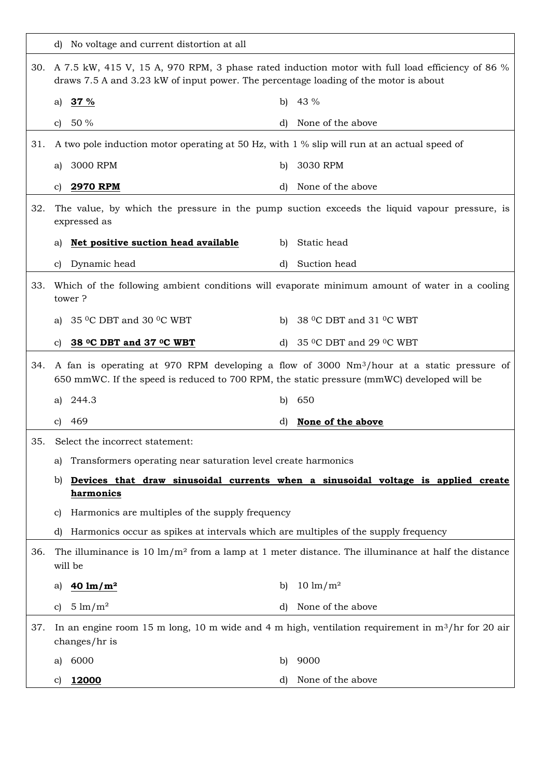|     | d) No voltage and current distortion at all                                                 |                                                                                                                    |
|-----|---------------------------------------------------------------------------------------------|--------------------------------------------------------------------------------------------------------------------|
|     | draws 7.5 A and 3.23 kW of input power. The percentage loading of the motor is about        | 30. A 7.5 kW, 415 V, 15 A, 970 RPM, 3 phase rated induction motor with full load efficiency of 86 %                |
|     | <u>37 %</u><br>a)                                                                           | 43 %<br>b)                                                                                                         |
|     | 50 %<br>C)                                                                                  | None of the above<br>d)                                                                                            |
| 31. | A two pole induction motor operating at 50 Hz, with 1 % slip will run at an actual speed of |                                                                                                                    |
|     | 3000 RPM<br>a)                                                                              | 3030 RPM<br>b)                                                                                                     |
|     | <b>2970 RPM</b><br>C)                                                                       | None of the above<br>d)                                                                                            |
| 32. | expressed as                                                                                | The value, by which the pressure in the pump suction exceeds the liquid vapour pressure, is                        |
|     | Net positive suction head available<br>al                                                   | b) Static head                                                                                                     |
|     | Dynamic head<br>C)                                                                          | Suction head<br>d)                                                                                                 |
| 33. | tower?                                                                                      | Which of the following ambient conditions will evaporate minimum amount of water in a cooling                      |
|     | 35 °C DBT and 30 °C WBT<br>a)                                                               | 38 °C DBT and 31 °C WBT<br>b)                                                                                      |
|     | 38 °C DBT and 37 °C WBT<br>C)                                                               | 35 °C DBT and 29 °C WBT<br>d)                                                                                      |
| 34. | 650 mmWC. If the speed is reduced to 700 RPM, the static pressure (mmWC) developed will be  | A fan is operating at 970 RPM developing a flow of 3000 Nm <sup>3</sup> /hour at a static pressure of              |
|     | 244.3<br>a)                                                                                 | 650<br>b)                                                                                                          |
|     | 469<br>C)                                                                                   | None of the above<br>d)                                                                                            |
| 35. | Select the incorrect statement:                                                             |                                                                                                                    |
|     | Transformers operating near saturation level create harmonics<br>a)                         |                                                                                                                    |
|     | b)<br>harmonics                                                                             | Devices that draw sinusoidal currents when a sinusoidal voltage is applied create                                  |
|     | Harmonics are multiples of the supply frequency<br>C)                                       |                                                                                                                    |
|     | Harmonics occur as spikes at intervals which are multiples of the supply frequency<br>d)    |                                                                                                                    |
| 36. | will be                                                                                     | The illuminance is 10 $\text{Im}/\text{m}^2$ from a lamp at 1 meter distance. The illuminance at half the distance |
|     | $40 \ln/m^2$<br>a)                                                                          | $10 \text{ lm/m}^2$<br>b)                                                                                          |
|     | $5 \text{ lm} / \text{m}^2$<br>C)                                                           | None of the above<br>d)                                                                                            |
| 37. | changes/hr is                                                                               | In an engine room 15 m long, 10 m wide and 4 m high, ventilation requirement in $m^3/hr$ for 20 air                |
|     | 6000<br>a)                                                                                  | 9000<br>b)                                                                                                         |
|     | 12000<br>C)                                                                                 | None of the above<br>d)                                                                                            |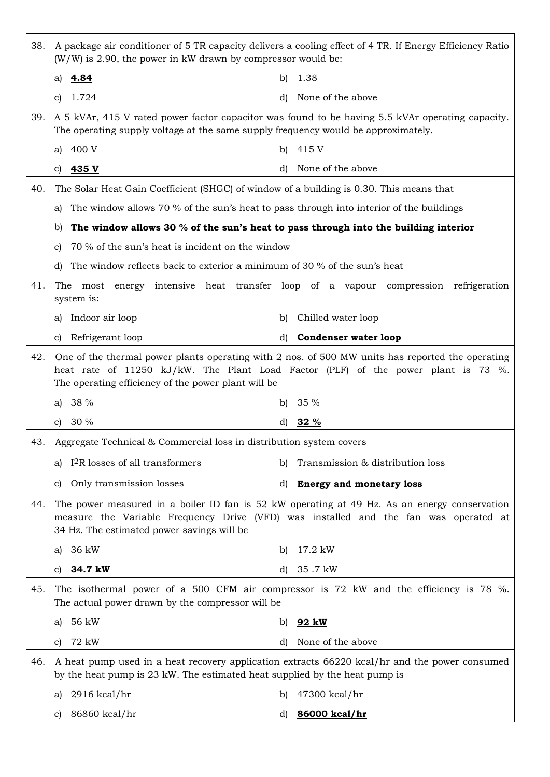| 38. | $(W/W)$ is 2.90, the power in kW drawn by compressor would be:                          | A package air conditioner of 5 TR capacity delivers a cooling effect of 4 TR. If Energy Efficiency Ratio                                                                              |
|-----|-----------------------------------------------------------------------------------------|---------------------------------------------------------------------------------------------------------------------------------------------------------------------------------------|
|     | 4.84<br>a)                                                                              | 1.38<br>b)                                                                                                                                                                            |
|     | 1.724<br>C)                                                                             | None of the above<br>d)                                                                                                                                                               |
| 39. | The operating supply voltage at the same supply frequency would be approximately.       | A 5 kVAr, 415 V rated power factor capacitor was found to be having 5.5 kVAr operating capacity.                                                                                      |
|     | 400 V<br>a)                                                                             | 415 V<br>b)                                                                                                                                                                           |
|     | 435 V<br>C)                                                                             | None of the above<br>d)                                                                                                                                                               |
| 40. | The Solar Heat Gain Coefficient (SHGC) of window of a building is 0.30. This means that |                                                                                                                                                                                       |
|     | a)                                                                                      | The window allows 70 % of the sun's heat to pass through into interior of the buildings                                                                                               |
|     | b)                                                                                      | The window allows 30 % of the sun's heat to pass through into the building interior                                                                                                   |
|     | 70 % of the sun's heat is incident on the window<br>C)                                  |                                                                                                                                                                                       |
|     | The window reflects back to exterior a minimum of 30 % of the sun's heat<br>d)          |                                                                                                                                                                                       |
| 41. | The<br>most<br>system is:                                                               | energy intensive heat transfer loop of a vapour compression refrigeration                                                                                                             |
|     | Indoor air loop<br>a)                                                                   | Chilled water loop<br>b)                                                                                                                                                              |
|     | Refrigerant loop<br>C)                                                                  | <b>Condenser water loop</b><br>d)                                                                                                                                                     |
| 42. | The operating efficiency of the power plant will be                                     | One of the thermal power plants operating with 2 nos. of 500 MW units has reported the operating<br>heat rate of 11250 kJ/kW. The Plant Load Factor (PLF) of the power plant is 73 %. |
|     | 38 %<br>a)                                                                              | 35%<br>b)                                                                                                                                                                             |
|     | 30%<br>C)                                                                               | 32 %<br>d)                                                                                                                                                                            |
| 43. | Aggregate Technical & Commercial loss in distribution system covers                     |                                                                                                                                                                                       |
|     | I <sup>2</sup> R losses of all transformers<br>a)                                       | Transmission & distribution loss<br>b)                                                                                                                                                |
|     | Only transmission losses<br>C)                                                          | <b>Energy and monetary loss</b><br>d)                                                                                                                                                 |
| 44. | 34 Hz. The estimated power savings will be                                              | The power measured in a boiler ID fan is 52 kW operating at 49 Hz. As an energy conservation<br>measure the Variable Frequency Drive (VFD) was installed and the fan was operated at  |
|     | 36 kW<br>a)                                                                             | 17.2 kW<br>b)                                                                                                                                                                         |
|     | 34.7 kW<br>C)                                                                           | 35.7 kW<br>d)                                                                                                                                                                         |
| 45. | The actual power drawn by the compressor will be                                        | The isothermal power of a 500 CFM air compressor is 72 kW and the efficiency is 78 %.                                                                                                 |
|     | 56 kW<br>a)                                                                             | <u>92 kW</u><br>b)                                                                                                                                                                    |
|     | 72 kW<br>c)                                                                             | None of the above<br>d)                                                                                                                                                               |
| 46. | by the heat pump is 23 kW. The estimated heat supplied by the heat pump is              | A heat pump used in a heat recovery application extracts 66220 kcal/hr and the power consumed                                                                                         |
|     | $2916$ kcal/hr<br>a)                                                                    | 47300 kcal/hr<br>b)                                                                                                                                                                   |
|     | 86860 kcal/hr<br>C)                                                                     | 86000 kcal/hr<br>d)                                                                                                                                                                   |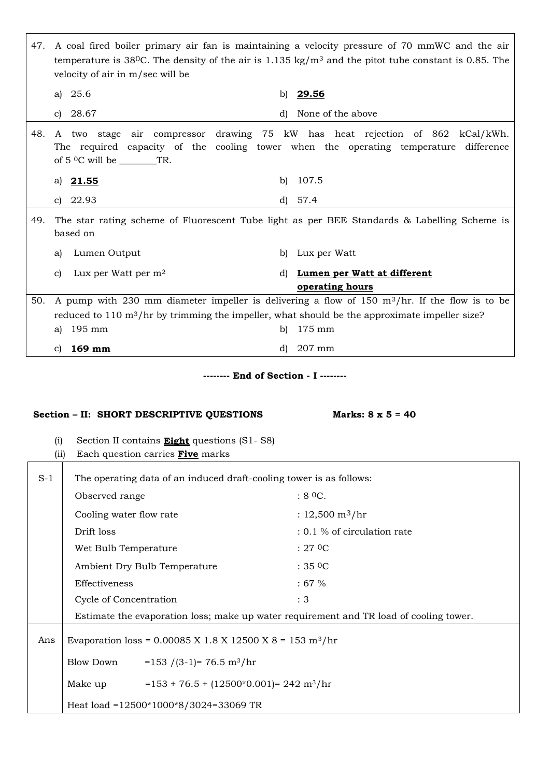| 47.   | velocity of air in m/sec will be                                                                                                                          | A coal fired boiler primary air fan is maintaining a velocity pressure of 70 mmWC and the air<br>temperature is 38 <sup>0</sup> C. The density of the air is 1.135 kg/m <sup>3</sup> and the pitot tube constant is 0.85. The |
|-------|-----------------------------------------------------------------------------------------------------------------------------------------------------------|-------------------------------------------------------------------------------------------------------------------------------------------------------------------------------------------------------------------------------|
|       | 25.6<br>a)                                                                                                                                                | b) 29.56                                                                                                                                                                                                                      |
|       | 28.67<br>C)                                                                                                                                               | None of the above<br>d)                                                                                                                                                                                                       |
| 48.   |                                                                                                                                                           | A two stage air compressor drawing 75 kW has heat rejection of 862 kCal/kWh.<br>The required capacity of the cooling tower when the operating temperature difference                                                          |
|       | <u>21.55</u><br>a)                                                                                                                                        | 107.5<br>b)                                                                                                                                                                                                                   |
|       | 22.93<br>C)                                                                                                                                               | 57.4<br>d)                                                                                                                                                                                                                    |
| 49.   | based on                                                                                                                                                  | The star rating scheme of Fluorescent Tube light as per BEE Standards & Labelling Scheme is                                                                                                                                   |
|       | Lumen Output<br>a)                                                                                                                                        | Lux per Watt<br>b)                                                                                                                                                                                                            |
|       | Lux per Watt per $m2$<br>C)                                                                                                                               | Lumen per Watt at different<br>d)<br>operating hours                                                                                                                                                                          |
| 50.   |                                                                                                                                                           | A pump with 230 mm diameter impeller is delivering a flow of 150 $m^3/n$ . If the flow is to be                                                                                                                               |
|       |                                                                                                                                                           | reduced to $110 \text{ m}^3/\text{hr}$ by trimming the impeller, what should be the approximate impeller size?                                                                                                                |
|       | 195 mm<br>a)                                                                                                                                              | 175 mm<br>b)                                                                                                                                                                                                                  |
|       | $169$ mm<br>C)                                                                                                                                            | 207 mm<br>d)                                                                                                                                                                                                                  |
|       | Section - II: SHORT DESCRIPTIVE QUESTIONS<br>Section II contains <b>Eight</b> questions (S1-S8)<br>(i)<br>Each question carries <b>Five</b> marks<br>(ii) | ------- End of Section - I -------<br>Marks: $8 \times 5 = 40$                                                                                                                                                                |
| $S-1$ | The operating data of an induced draft-cooling tower is as follows:                                                                                       |                                                                                                                                                                                                                               |
|       | Observed range                                                                                                                                            | :80C.                                                                                                                                                                                                                         |
|       |                                                                                                                                                           |                                                                                                                                                                                                                               |
|       | Cooling water flow rate                                                                                                                                   | : $12,500 \text{ m}^3/\text{hr}$                                                                                                                                                                                              |
|       | Drift loss                                                                                                                                                | : 0.1 % of circulation rate                                                                                                                                                                                                   |
|       | Wet Bulb Temperature                                                                                                                                      | $:27$ OC                                                                                                                                                                                                                      |
|       | Ambient Dry Bulb Temperature                                                                                                                              | :350C                                                                                                                                                                                                                         |
|       | Effectiveness                                                                                                                                             | :67%                                                                                                                                                                                                                          |
|       | Cycle of Concentration                                                                                                                                    | : 3                                                                                                                                                                                                                           |
|       |                                                                                                                                                           | Estimate the evaporation loss; make up water requirement and TR load of cooling tower.                                                                                                                                        |
| Ans   | Evaporation loss = $0.00085$ X 1.8 X 12500 X 8 = 153 m <sup>3</sup> /hr                                                                                   |                                                                                                                                                                                                                               |
|       | Blow Down<br>$= 153 / (3-1) = 76.5 m3/hr$                                                                                                                 |                                                                                                                                                                                                                               |
|       | $= 153 + 76.5 + (12500*0.001) = 242 \text{ m}^3/\text{hr}$<br>Make up                                                                                     |                                                                                                                                                                                                                               |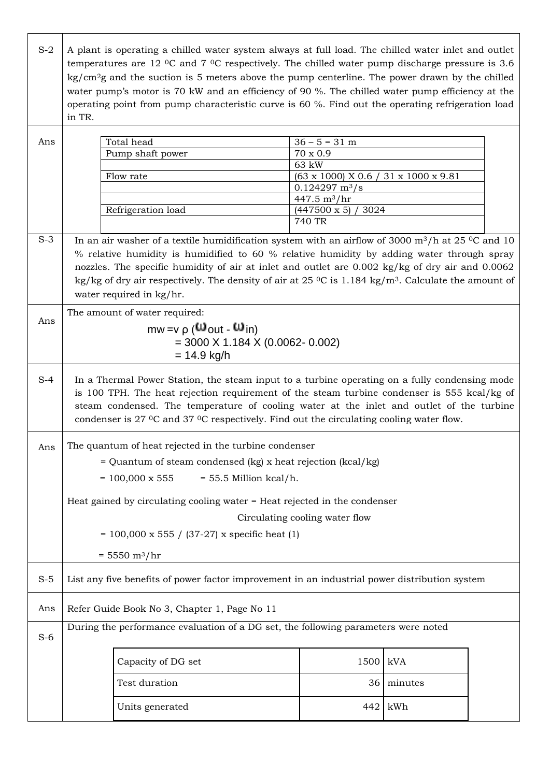| $S-2$ | in TR.        | A plant is operating a chilled water system always at full load. The chilled water inlet and outlet<br>temperatures are 12 $\degree$ C and 7 $\degree$ C respectively. The chilled water pump discharge pressure is 3.6<br>$\text{kg/cm}^2$ g and the suction is 5 meters above the pump centerline. The power drawn by the chilled<br>water pump's motor is 70 kW and an efficiency of 90 %. The chilled water pump efficiency at the<br>operating point from pump characteristic curve is 60 %. Find out the operating refrigeration load |                                                   |            |  |  |  |
|-------|---------------|---------------------------------------------------------------------------------------------------------------------------------------------------------------------------------------------------------------------------------------------------------------------------------------------------------------------------------------------------------------------------------------------------------------------------------------------------------------------------------------------------------------------------------------------|---------------------------------------------------|------------|--|--|--|
|       |               |                                                                                                                                                                                                                                                                                                                                                                                                                                                                                                                                             |                                                   |            |  |  |  |
| Ans   |               | Total head                                                                                                                                                                                                                                                                                                                                                                                                                                                                                                                                  | $36 - 5 = 31$ m                                   |            |  |  |  |
|       |               | Pump shaft power                                                                                                                                                                                                                                                                                                                                                                                                                                                                                                                            | $70 \times 0.9$                                   |            |  |  |  |
|       |               |                                                                                                                                                                                                                                                                                                                                                                                                                                                                                                                                             | 63 kW                                             |            |  |  |  |
|       |               | Flow rate                                                                                                                                                                                                                                                                                                                                                                                                                                                                                                                                   | (63 x 1000) X 0.6 / 31 x 1000 x 9.81              |            |  |  |  |
|       |               |                                                                                                                                                                                                                                                                                                                                                                                                                                                                                                                                             | $0.124297 \text{ m}^3/\text{s}$<br>447.5 $m^3/hr$ |            |  |  |  |
|       |               | Refrigeration load                                                                                                                                                                                                                                                                                                                                                                                                                                                                                                                          | 3024<br>$(447500 \times 5)$                       |            |  |  |  |
|       |               |                                                                                                                                                                                                                                                                                                                                                                                                                                                                                                                                             | 740 TR                                            |            |  |  |  |
|       |               |                                                                                                                                                                                                                                                                                                                                                                                                                                                                                                                                             |                                                   |            |  |  |  |
| $S-3$ |               | In an air washer of a textile humidification system with an airflow of 3000 $\mathrm{m}^3/\mathrm{h}$ at 25 <sup>o</sup> C and 10                                                                                                                                                                                                                                                                                                                                                                                                           |                                                   |            |  |  |  |
|       |               | % relative humidity is humidified to 60 % relative humidity by adding water through spray                                                                                                                                                                                                                                                                                                                                                                                                                                                   |                                                   |            |  |  |  |
|       |               | nozzles. The specific humidity of air at inlet and outlet are 0.002 kg/kg of dry air and 0.0062                                                                                                                                                                                                                                                                                                                                                                                                                                             |                                                   |            |  |  |  |
|       |               | kg/kg of dry air respectively. The density of air at 25 $\rm{^0C}$ is 1.184 kg/m <sup>3</sup> . Calculate the amount of                                                                                                                                                                                                                                                                                                                                                                                                                     |                                                   |            |  |  |  |
|       |               | water required in kg/hr.                                                                                                                                                                                                                                                                                                                                                                                                                                                                                                                    |                                                   |            |  |  |  |
|       |               | The amount of water required:                                                                                                                                                                                                                                                                                                                                                                                                                                                                                                               |                                                   |            |  |  |  |
| Ans   |               |                                                                                                                                                                                                                                                                                                                                                                                                                                                                                                                                             |                                                   |            |  |  |  |
|       |               | $mw = v \rho$ ( $\omega_{out}$ - $\omega_{in}$ )                                                                                                                                                                                                                                                                                                                                                                                                                                                                                            |                                                   |            |  |  |  |
|       |               | $=$ 3000 X 1.184 X (0.0062- 0.002)                                                                                                                                                                                                                                                                                                                                                                                                                                                                                                          |                                                   |            |  |  |  |
|       | $= 14.9$ kg/h |                                                                                                                                                                                                                                                                                                                                                                                                                                                                                                                                             |                                                   |            |  |  |  |
| $S-4$ |               | In a Thermal Power Station, the steam input to a turbine operating on a fully condensing mode<br>is 100 TPH. The heat rejection requirement of the steam turbine condenser is 555 kcal/kg of<br>steam condensed. The temperature of cooling water at the inlet and outlet of the turbine<br>condenser is 27 °C and 37 °C respectively. Find out the circulating cooling water flow.                                                                                                                                                         |                                                   |            |  |  |  |
|       |               | The quantum of heat rejected in the turbine condenser                                                                                                                                                                                                                                                                                                                                                                                                                                                                                       |                                                   |            |  |  |  |
| Ans   |               |                                                                                                                                                                                                                                                                                                                                                                                                                                                                                                                                             |                                                   |            |  |  |  |
|       |               | = Quantum of steam condensed (kg) x heat rejection (kcal/kg)                                                                                                                                                                                                                                                                                                                                                                                                                                                                                |                                                   |            |  |  |  |
|       |               | $= 100,000 \times 555$<br>$= 55.5$ Million kcal/h.                                                                                                                                                                                                                                                                                                                                                                                                                                                                                          |                                                   |            |  |  |  |
|       |               |                                                                                                                                                                                                                                                                                                                                                                                                                                                                                                                                             |                                                   |            |  |  |  |
|       |               | Heat gained by circulating cooling water = Heat rejected in the condenser                                                                                                                                                                                                                                                                                                                                                                                                                                                                   |                                                   |            |  |  |  |
|       |               |                                                                                                                                                                                                                                                                                                                                                                                                                                                                                                                                             | Circulating cooling water flow                    |            |  |  |  |
|       |               | $= 100,000 \times 555 / (37-27) \times$ specific heat (1)                                                                                                                                                                                                                                                                                                                                                                                                                                                                                   |                                                   |            |  |  |  |
|       |               |                                                                                                                                                                                                                                                                                                                                                                                                                                                                                                                                             |                                                   |            |  |  |  |
|       |               | $= 5550 \text{ m}^3/\text{hr}$                                                                                                                                                                                                                                                                                                                                                                                                                                                                                                              |                                                   |            |  |  |  |
| $S-5$ |               | List any five benefits of power factor improvement in an industrial power distribution system                                                                                                                                                                                                                                                                                                                                                                                                                                               |                                                   |            |  |  |  |
| Ans   |               | Refer Guide Book No 3, Chapter 1, Page No 11                                                                                                                                                                                                                                                                                                                                                                                                                                                                                                |                                                   |            |  |  |  |
| $S-6$ |               | During the performance evaluation of a DG set, the following parameters were noted                                                                                                                                                                                                                                                                                                                                                                                                                                                          |                                                   |            |  |  |  |
|       |               |                                                                                                                                                                                                                                                                                                                                                                                                                                                                                                                                             |                                                   |            |  |  |  |
|       |               | Capacity of DG set                                                                                                                                                                                                                                                                                                                                                                                                                                                                                                                          | 1500                                              | kVA        |  |  |  |
|       |               | Test duration                                                                                                                                                                                                                                                                                                                                                                                                                                                                                                                               |                                                   | 36 minutes |  |  |  |
|       |               |                                                                                                                                                                                                                                                                                                                                                                                                                                                                                                                                             |                                                   |            |  |  |  |
|       |               | Units generated                                                                                                                                                                                                                                                                                                                                                                                                                                                                                                                             | 442                                               | kWh        |  |  |  |

 $\overline{\Gamma}$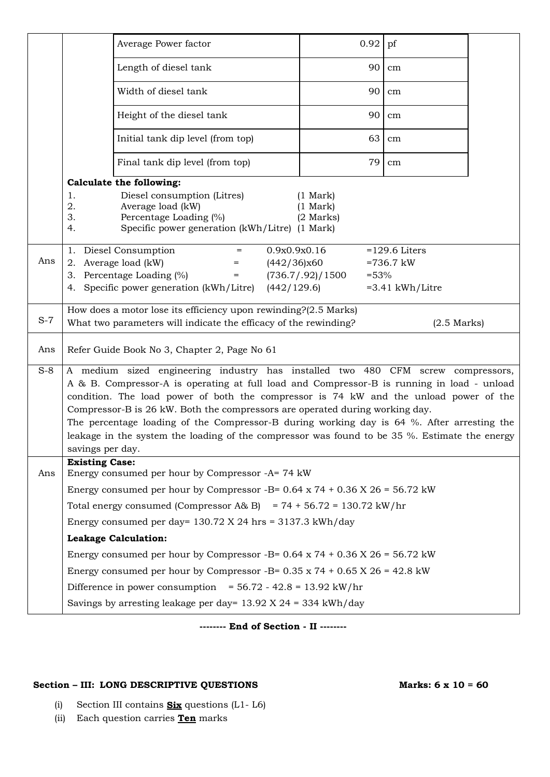|       |                       | Average Power factor                                                                                                                                                                        | 0.92                                               | pf                |  |
|-------|-----------------------|---------------------------------------------------------------------------------------------------------------------------------------------------------------------------------------------|----------------------------------------------------|-------------------|--|
|       |                       | Length of diesel tank                                                                                                                                                                       | 90                                                 | cm                |  |
|       |                       | Width of diesel tank                                                                                                                                                                        | 90                                                 | cm                |  |
|       |                       | Height of the diesel tank                                                                                                                                                                   | 90                                                 | cm                |  |
|       |                       | Initial tank dip level (from top)                                                                                                                                                           | 63                                                 | cm                |  |
|       |                       | Final tank dip level (from top)                                                                                                                                                             | 79                                                 | cm                |  |
|       |                       | <b>Calculate the following:</b>                                                                                                                                                             |                                                    |                   |  |
|       | 1.<br>2.<br>3.<br>4.  | Diesel consumption (Litres)<br>Average load (kW)<br>Percentage Loading (%)<br>Specific power generation (kWh/Litre) (1 Mark)                                                                | $(1 \text{ Mark})$<br>$(1$ Mark $)$<br>$(2$ Marks) |                   |  |
|       | 1.                    | Diesel Consumption<br>$=$                                                                                                                                                                   | 0.9x0.9x0.16                                       | $=129.6$ Liters   |  |
| Ans   |                       | 2. Average load (kW)                                                                                                                                                                        | (442/36)x60                                        | $=736.7$ kW       |  |
|       |                       | 3. Percentage Loading (%)<br>$=$                                                                                                                                                            | (736.7/0.92)/1500<br>$=53%$                        |                   |  |
|       |                       | 4. Specific power generation (kWh/Litre) (442/129.6)                                                                                                                                        |                                                    | $=3.41$ kWh/Litre |  |
| $S-7$ |                       | How does a motor lose its efficiency upon rewinding?(2.5 Marks)<br>What two parameters will indicate the efficacy of the rewinding?                                                         |                                                    | $(2.5$ Marks)     |  |
| Ans   |                       | Refer Guide Book No 3, Chapter 2, Page No 61                                                                                                                                                |                                                    |                   |  |
| $S-8$ |                       | A medium sized engineering industry has installed two 480 CFM screw compressors,                                                                                                            |                                                    |                   |  |
|       |                       | A & B. Compressor-A is operating at full load and Compressor-B is running in load - unload                                                                                                  |                                                    |                   |  |
|       |                       | condition. The load power of both the compressor is 74 kW and the unload power of the                                                                                                       |                                                    |                   |  |
|       |                       | Compressor-B is 26 kW. Both the compressors are operated during working day.                                                                                                                |                                                    |                   |  |
|       |                       | The percentage loading of the Compressor-B during working day is 64 %. After arresting the<br>leakage in the system the loading of the compressor was found to be 35 %. Estimate the energy |                                                    |                   |  |
|       | savings per day.      |                                                                                                                                                                                             |                                                    |                   |  |
| Ans   | <b>Existing Case:</b> | Energy consumed per hour by Compressor -A= 74 kW                                                                                                                                            |                                                    |                   |  |
|       |                       | Energy consumed per hour by Compressor -B= $0.64 \times 74 + 0.36 \times 26 = 56.72 \text{ kW}$                                                                                             |                                                    |                   |  |
|       |                       | Total energy consumed (Compressor A& B) = $74 + 56.72 = 130.72$ kW/hr                                                                                                                       |                                                    |                   |  |
|       |                       | Energy consumed per day= $130.72$ X 24 hrs = $3137.3$ kWh/day                                                                                                                               |                                                    |                   |  |
|       |                       | <b>Leakage Calculation:</b>                                                                                                                                                                 |                                                    |                   |  |
|       |                       | Energy consumed per hour by Compressor -B= $0.64 \times 74 + 0.36 \times 26 = 56.72 \text{ kW}$                                                                                             |                                                    |                   |  |
|       |                       | Energy consumed per hour by Compressor -B= $0.35 \times 74 + 0.65 \times 26 = 42.8 \text{ kW}$                                                                                              |                                                    |                   |  |
|       |                       | Difference in power consumption = $56.72 - 42.8 = 13.92$ kW/hr                                                                                                                              |                                                    |                   |  |
|       |                       | Savings by arresting leakage per day= $13.92$ X 24 = 334 kWh/day                                                                                                                            |                                                    |                   |  |

**-------- End of Section - II --------**

## **Section – III: LONG DESCRIPTIVE QUESTIONS Marks: 6 x 10 = 60**

- (i) Section III contains **Six** questions (L1- L6)
- (ii) Each question carries **Ten** marks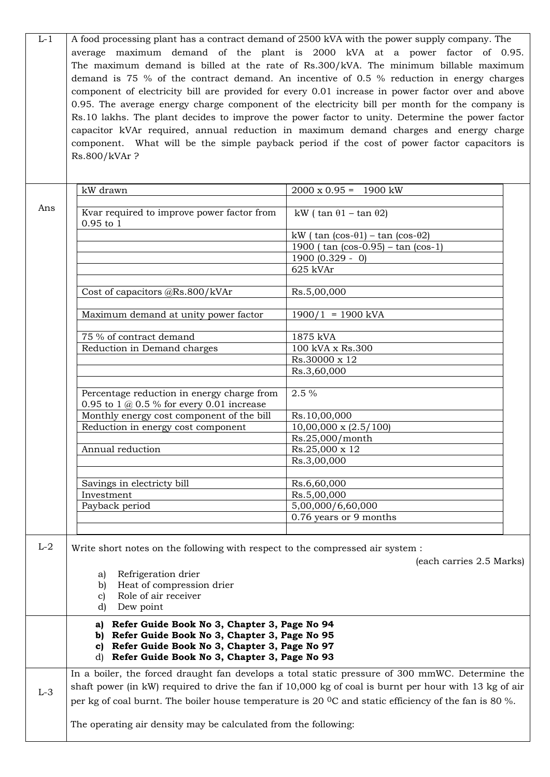| $L-1$ |                                                                                                                                                       | A food processing plant has a contract demand of 2500 kVA with the power supply company. The<br>average maximum demand of the plant is 2000 kVA at a power factor of 0.95.       |  |  |  |  |  |  |
|-------|-------------------------------------------------------------------------------------------------------------------------------------------------------|----------------------------------------------------------------------------------------------------------------------------------------------------------------------------------|--|--|--|--|--|--|
|       |                                                                                                                                                       | The maximum demand is billed at the rate of Rs.300/kVA. The minimum billable maximum<br>demand is 75 % of the contract demand. An incentive of 0.5 % reduction in energy charges |  |  |  |  |  |  |
|       |                                                                                                                                                       | component of electricity bill are provided for every 0.01 increase in power factor over and above                                                                                |  |  |  |  |  |  |
|       |                                                                                                                                                       | 0.95. The average energy charge component of the electricity bill per month for the company is                                                                                   |  |  |  |  |  |  |
|       | Rs.10 lakhs. The plant decides to improve the power factor to unity. Determine the power factor                                                       |                                                                                                                                                                                  |  |  |  |  |  |  |
|       |                                                                                                                                                       | capacitor kVAr required, annual reduction in maximum demand charges and energy charge                                                                                            |  |  |  |  |  |  |
|       |                                                                                                                                                       | component. What will be the simple payback period if the cost of power factor capacitors is                                                                                      |  |  |  |  |  |  |
|       | Rs.800/kVAr?                                                                                                                                          |                                                                                                                                                                                  |  |  |  |  |  |  |
|       |                                                                                                                                                       |                                                                                                                                                                                  |  |  |  |  |  |  |
|       | kW drawn                                                                                                                                              | $2000 \times 0.95 = 1900 \text{ kW}$                                                                                                                                             |  |  |  |  |  |  |
| Ans   | Kvar required to improve power factor from<br>$0.95$ to $1$                                                                                           | kW ( $\tan \theta_1 - \tan \theta_2$ )                                                                                                                                           |  |  |  |  |  |  |
|       |                                                                                                                                                       | kW ( $\tan$ ( $\cos$ - $\theta$ 1) – $\tan$ ( $\cos$ - $\theta$ 2)                                                                                                               |  |  |  |  |  |  |
|       |                                                                                                                                                       | 1900 ( $tan (cos-0.95) - tan (cos-1)$                                                                                                                                            |  |  |  |  |  |  |
|       |                                                                                                                                                       | $1900(0.329 - 0)$                                                                                                                                                                |  |  |  |  |  |  |
|       |                                                                                                                                                       | 625 kVAr                                                                                                                                                                         |  |  |  |  |  |  |
|       | Cost of capacitors @Rs.800/kVAr                                                                                                                       | Rs.5,00,000                                                                                                                                                                      |  |  |  |  |  |  |
|       | Maximum demand at unity power factor                                                                                                                  | $1900/1 = 1900$ kVA                                                                                                                                                              |  |  |  |  |  |  |
|       |                                                                                                                                                       |                                                                                                                                                                                  |  |  |  |  |  |  |
|       | 75 % of contract demand<br>Reduction in Demand charges                                                                                                | 1875 kVA<br>100 kVA x Rs.300                                                                                                                                                     |  |  |  |  |  |  |
|       |                                                                                                                                                       | Rs.30000 x 12                                                                                                                                                                    |  |  |  |  |  |  |
|       |                                                                                                                                                       | Rs.3,60,000                                                                                                                                                                      |  |  |  |  |  |  |
|       |                                                                                                                                                       |                                                                                                                                                                                  |  |  |  |  |  |  |
|       | Percentage reduction in energy charge from<br>0.95 to 1 $@$ 0.5 % for every 0.01 increase                                                             | 2.5 %                                                                                                                                                                            |  |  |  |  |  |  |
|       | Monthly energy cost component of the bill                                                                                                             | Rs.10,00,000                                                                                                                                                                     |  |  |  |  |  |  |
|       | Reduction in energy cost component                                                                                                                    | $10,00,000 \times (2.5/100)$<br>Rs.25,000/month                                                                                                                                  |  |  |  |  |  |  |
|       | Annual reduction                                                                                                                                      | Rs.25,000 x 12                                                                                                                                                                   |  |  |  |  |  |  |
|       |                                                                                                                                                       | Rs.3,00,000                                                                                                                                                                      |  |  |  |  |  |  |
|       |                                                                                                                                                       |                                                                                                                                                                                  |  |  |  |  |  |  |
|       | Savings in electricty bill                                                                                                                            | Rs.6,60,000                                                                                                                                                                      |  |  |  |  |  |  |
|       | Investment                                                                                                                                            | Rs.5,00,000                                                                                                                                                                      |  |  |  |  |  |  |
|       | Payback period                                                                                                                                        | 5,00,000/6,60,000<br>0.76 years or 9 months                                                                                                                                      |  |  |  |  |  |  |
|       |                                                                                                                                                       |                                                                                                                                                                                  |  |  |  |  |  |  |
| $L-2$ | Write short notes on the following with respect to the compressed air system :                                                                        | (each carries 2.5 Marks)                                                                                                                                                         |  |  |  |  |  |  |
|       | Refrigeration drier<br>a)                                                                                                                             |                                                                                                                                                                                  |  |  |  |  |  |  |
|       | Heat of compression drier<br>b)<br>Role of air receiver<br>C)                                                                                         |                                                                                                                                                                                  |  |  |  |  |  |  |
|       | Dew point<br>d)                                                                                                                                       |                                                                                                                                                                                  |  |  |  |  |  |  |
|       | a) Refer Guide Book No 3, Chapter 3, Page No 94<br>b) Refer Guide Book No 3, Chapter 3, Page No 95<br>c) Refer Guide Book No 3, Chapter 3, Page No 97 |                                                                                                                                                                                  |  |  |  |  |  |  |
|       | d) Refer Guide Book No 3, Chapter 3, Page No 93                                                                                                       |                                                                                                                                                                                  |  |  |  |  |  |  |
|       |                                                                                                                                                       | In a boiler, the forced draught fan develops a total static pressure of 300 mmWC. Determine the                                                                                  |  |  |  |  |  |  |
| $L-3$ |                                                                                                                                                       | shaft power (in kW) required to drive the fan if 10,000 kg of coal is burnt per hour with 13 kg of air                                                                           |  |  |  |  |  |  |
|       |                                                                                                                                                       | per kg of coal burnt. The boiler house temperature is 20 $\degree$ C and static efficiency of the fan is 80 %.                                                                   |  |  |  |  |  |  |
|       | The operating air density may be calculated from the following:                                                                                       |                                                                                                                                                                                  |  |  |  |  |  |  |

ı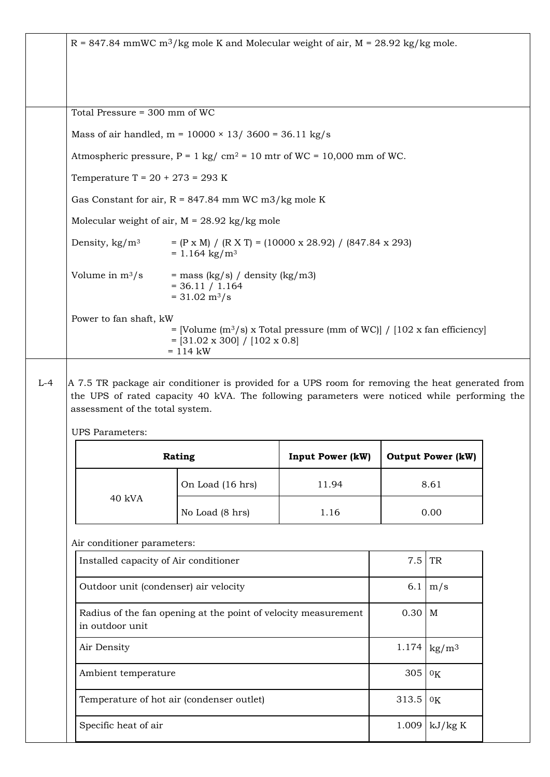| $R = 847.84$ mmWC m <sup>3</sup> /kg mole K and Molecular weight of air, M = 28.92 kg/kg mole. |                                                                                                                                                                                                                                                            |                         |                |                           |  |
|------------------------------------------------------------------------------------------------|------------------------------------------------------------------------------------------------------------------------------------------------------------------------------------------------------------------------------------------------------------|-------------------------|----------------|---------------------------|--|
|                                                                                                |                                                                                                                                                                                                                                                            |                         |                |                           |  |
| Total Pressure = 300 mm of WC                                                                  |                                                                                                                                                                                                                                                            |                         |                |                           |  |
|                                                                                                | Mass of air handled, $m = 10000 \times 13/3600 = 36.11 \text{ kg/s}$                                                                                                                                                                                       |                         |                |                           |  |
| Atmospheric pressure, $P = 1$ kg/ cm <sup>2</sup> = 10 mtr of WC = 10,000 mm of WC.            |                                                                                                                                                                                                                                                            |                         |                |                           |  |
|                                                                                                | Temperature T = $20 + 273 = 293$ K                                                                                                                                                                                                                         |                         |                |                           |  |
|                                                                                                | Gas Constant for air, $R = 847.84$ mm WC m3/kg mole K                                                                                                                                                                                                      |                         |                |                           |  |
|                                                                                                | Molecular weight of air, $M = 28.92$ kg/kg mole                                                                                                                                                                                                            |                         |                |                           |  |
| Density, $\text{kg/m}^3$                                                                       | $= (P \times M) / (R \times T) = (10000 \times 28.92) / (847.84 \times 293)$<br>$= 1.164 \text{ kg/m}^3$                                                                                                                                                   |                         |                |                           |  |
| Volume in $m^3/s$                                                                              | $=$ mass (kg/s) / density (kg/m3)<br>$= 36.11 / 1.164$<br>$= 31.02 \text{ m}^3/\text{s}$                                                                                                                                                                   |                         |                |                           |  |
| Power to fan shaft, kW                                                                         | = [Volume (m <sup>3</sup> /s) x Total pressure (mm of WC)] / $[102 \times \text{fan efficiency}]$                                                                                                                                                          |                         |                |                           |  |
| assessment of the total system.                                                                | $=[31.02 \times 300] / [102 \times 0.8]$<br>$= 114$ kW<br>A 7.5 TR package air conditioner is provided for a UPS room for removing the heat generated from<br>the UPS of rated capacity 40 kVA. The following parameters were noticed while performing the |                         |                |                           |  |
| <b>UPS</b> Parameters:                                                                         |                                                                                                                                                                                                                                                            |                         |                |                           |  |
|                                                                                                | Rating                                                                                                                                                                                                                                                     | <b>Input Power (kW)</b> |                | <b>Output Power (kW)</b>  |  |
|                                                                                                | On Load (16 hrs)                                                                                                                                                                                                                                           | 11.94                   |                | 8.61                      |  |
| 40 kVA                                                                                         | No Load (8 hrs)                                                                                                                                                                                                                                            | 1.16                    |                | 0.00                      |  |
|                                                                                                |                                                                                                                                                                                                                                                            |                         |                |                           |  |
| Air conditioner parameters:<br>Installed capacity of Air conditioner                           |                                                                                                                                                                                                                                                            |                         | 7.5            | TR                        |  |
|                                                                                                | Outdoor unit (condenser) air velocity                                                                                                                                                                                                                      |                         | 6.1            | m/s                       |  |
| in outdoor unit                                                                                | Radius of the fan opening at the point of velocity measurement                                                                                                                                                                                             |                         | $0.30$ M       |                           |  |
| Air Density                                                                                    |                                                                                                                                                                                                                                                            |                         | 1.174          | $\text{kg}/\text{m}^3$    |  |
| Ambient temperature                                                                            |                                                                                                                                                                                                                                                            |                         | 305            | 0 <sub>K</sub>            |  |
|                                                                                                |                                                                                                                                                                                                                                                            |                         |                |                           |  |
| Specific heat of air                                                                           | Temperature of hot air (condenser outlet)                                                                                                                                                                                                                  |                         | 313.5<br>1.009 | 0 <sub>K</sub><br>kJ/kg K |  |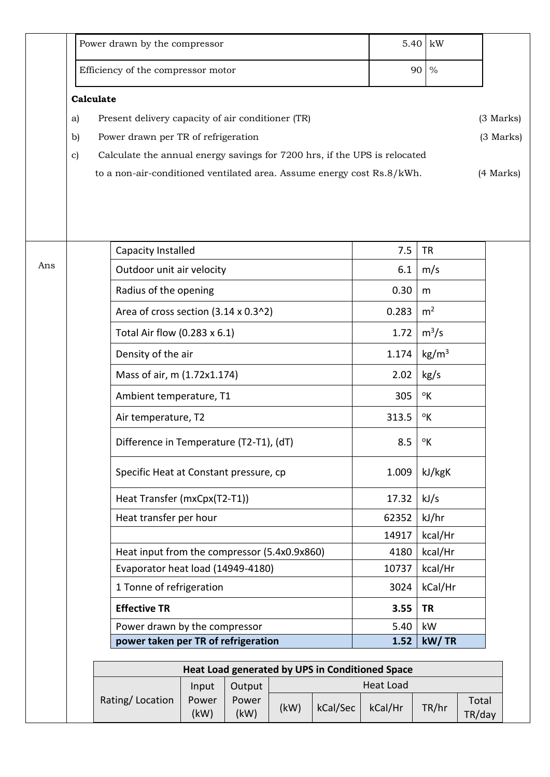|     | Power drawn by the compressor                                                   | 5.40  | kW                         |           |  |  |  |  |
|-----|---------------------------------------------------------------------------------|-------|----------------------------|-----------|--|--|--|--|
|     | Efficiency of the compressor motor                                              |       | 90 %                       |           |  |  |  |  |
|     | Calculate                                                                       |       |                            |           |  |  |  |  |
|     | Present delivery capacity of air conditioner (TR)<br>a)                         |       |                            | (3 Marks) |  |  |  |  |
|     | Power drawn per TR of refrigeration<br>$\mathbf{b}$                             |       |                            | (3 Marks) |  |  |  |  |
|     | Calculate the annual energy savings for 7200 hrs, if the UPS is relocated<br>c) |       |                            |           |  |  |  |  |
|     | to a non-air-conditioned ventilated area. Assume energy cost Rs.8/kWh.          |       |                            | (4 Marks) |  |  |  |  |
|     | Capacity Installed                                                              | 7.5   | <b>TR</b>                  |           |  |  |  |  |
| Ans | Outdoor unit air velocity                                                       | 6.1   | m/s                        |           |  |  |  |  |
|     | Radius of the opening                                                           | 0.30  | m                          |           |  |  |  |  |
|     | Area of cross section (3.14 x 0.3^2)                                            | 0.283 | m <sup>2</sup>             |           |  |  |  |  |
|     | Total Air flow (0.283 x 6.1)                                                    | 1.72  | $m^3/s$                    |           |  |  |  |  |
|     | Density of the air                                                              | 1.174 | kg/m <sup>3</sup>          |           |  |  |  |  |
|     | Mass of air, m (1.72x1.174)                                                     | 2.02  | kg/s                       |           |  |  |  |  |
|     | Ambient temperature, T1                                                         | 305   | $\mathcal{O}_{\mathsf{K}}$ |           |  |  |  |  |
|     | Air temperature, T2                                                             | 313.5 | °K                         |           |  |  |  |  |
|     | Difference in Temperature (T2-T1), (dT)                                         | 8.5   | °Κ                         |           |  |  |  |  |
|     | Specific Heat at Constant pressure, cp                                          | 1.009 | kJ/kgK                     |           |  |  |  |  |
|     | Heat Transfer (mxCpx(T2-T1))                                                    | 17.32 | kJ/s                       |           |  |  |  |  |
|     | Heat transfer per hour                                                          | 62352 | kJ/hr                      |           |  |  |  |  |
|     |                                                                                 | 14917 | kcal/Hr                    |           |  |  |  |  |
|     | Heat input from the compressor (5.4x0.9x860)                                    | 4180  | kcal/Hr                    |           |  |  |  |  |
|     | Evaporator heat load (14949-4180)                                               | 10737 | kcal/Hr                    |           |  |  |  |  |
|     | 1 Tonne of refrigeration                                                        | 3024  | kCal/Hr                    |           |  |  |  |  |
|     | <b>Effective TR</b>                                                             | 3.55  | <b>TR</b>                  |           |  |  |  |  |
|     | Power drawn by the compressor                                                   | 5.40  | kW                         |           |  |  |  |  |
|     | power taken per TR of refrigeration                                             | 1.52  | kW/TR                      |           |  |  |  |  |

|                 |               |               |           |          | Heat Load generated by UPS in Conditioned Space |       |                 |
|-----------------|---------------|---------------|-----------|----------|-------------------------------------------------|-------|-----------------|
|                 | Input         | Output        | Heat Load |          |                                                 |       |                 |
| Rating/Location | Power<br>(kW) | Power<br>(kW) | (kW)      | kCal/Sec | kCal/Hr                                         | TR/hr | Total<br>TR/day |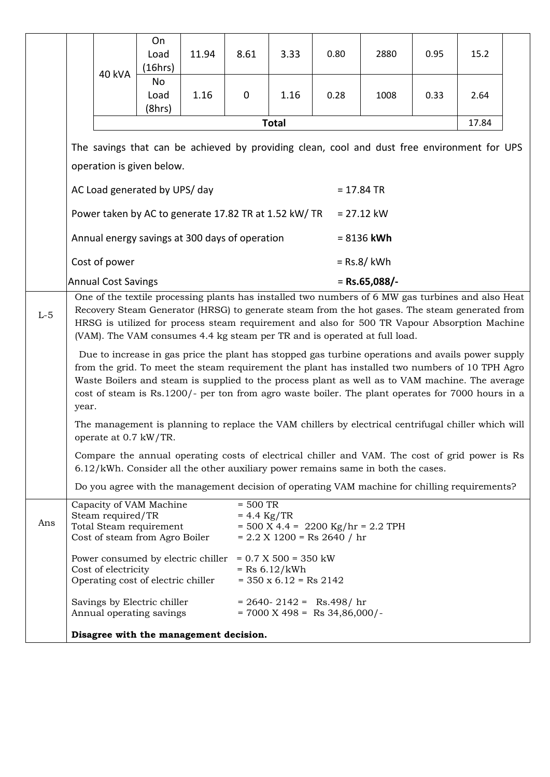|       |                                                                                                                                                                                                                                                                                                                                                                                                                                                                                                                                                                                                                                                                                                                                                                                                           |                                                                                                                                                                                    | On<br>Load<br>(16hrs)                                                                | 11.94 | 8.61                        | 3.33                                                                  | 0.80                                                                  | 2880 | 0.95 | 15.2 |  |
|-------|-----------------------------------------------------------------------------------------------------------------------------------------------------------------------------------------------------------------------------------------------------------------------------------------------------------------------------------------------------------------------------------------------------------------------------------------------------------------------------------------------------------------------------------------------------------------------------------------------------------------------------------------------------------------------------------------------------------------------------------------------------------------------------------------------------------|------------------------------------------------------------------------------------------------------------------------------------------------------------------------------------|--------------------------------------------------------------------------------------|-------|-----------------------------|-----------------------------------------------------------------------|-----------------------------------------------------------------------|------|------|------|--|
|       |                                                                                                                                                                                                                                                                                                                                                                                                                                                                                                                                                                                                                                                                                                                                                                                                           | 40 kVA                                                                                                                                                                             | No<br>Load<br>(8hrs)                                                                 | 1.16  | $\mathbf 0$                 | 1.16                                                                  | 0.28                                                                  | 1008 | 0.33 | 2.64 |  |
|       | <b>Total</b><br>17.84<br>The savings that can be achieved by providing clean, cool and dust free environment for UPS<br>operation is given below.                                                                                                                                                                                                                                                                                                                                                                                                                                                                                                                                                                                                                                                         |                                                                                                                                                                                    |                                                                                      |       |                             |                                                                       |                                                                       |      |      |      |  |
|       |                                                                                                                                                                                                                                                                                                                                                                                                                                                                                                                                                                                                                                                                                                                                                                                                           |                                                                                                                                                                                    |                                                                                      |       |                             |                                                                       |                                                                       |      |      |      |  |
|       |                                                                                                                                                                                                                                                                                                                                                                                                                                                                                                                                                                                                                                                                                                                                                                                                           |                                                                                                                                                                                    |                                                                                      |       |                             |                                                                       |                                                                       |      |      |      |  |
|       | AC Load generated by UPS/day<br>$= 17.84$ TR                                                                                                                                                                                                                                                                                                                                                                                                                                                                                                                                                                                                                                                                                                                                                              |                                                                                                                                                                                    |                                                                                      |       |                             |                                                                       |                                                                       |      |      |      |  |
|       | Power taken by AC to generate 17.82 TR at 1.52 kW/ TR<br>$= 27.12$ kW                                                                                                                                                                                                                                                                                                                                                                                                                                                                                                                                                                                                                                                                                                                                     |                                                                                                                                                                                    |                                                                                      |       |                             |                                                                       |                                                                       |      |      |      |  |
|       | Annual energy savings at 300 days of operation<br>$= 8136$ kWh                                                                                                                                                                                                                                                                                                                                                                                                                                                                                                                                                                                                                                                                                                                                            |                                                                                                                                                                                    |                                                                                      |       |                             |                                                                       |                                                                       |      |      |      |  |
|       |                                                                                                                                                                                                                                                                                                                                                                                                                                                                                                                                                                                                                                                                                                                                                                                                           | Cost of power                                                                                                                                                                      |                                                                                      |       |                             | $=$ Rs.8/ kWh                                                         |                                                                       |      |      |      |  |
|       |                                                                                                                                                                                                                                                                                                                                                                                                                                                                                                                                                                                                                                                                                                                                                                                                           | <b>Annual Cost Savings</b>                                                                                                                                                         |                                                                                      |       |                             | $=$ Rs.65,088/-                                                       |                                                                       |      |      |      |  |
| $L-5$ | One of the textile processing plants has installed two numbers of 6 MW gas turbines and also Heat<br>Recovery Steam Generator (HRSG) to generate steam from the hot gases. The steam generated from<br>HRSG is utilized for process steam requirement and also for 500 TR Vapour Absorption Machine<br>(VAM). The VAM consumes 4.4 kg steam per TR and is operated at full load.<br>Due to increase in gas price the plant has stopped gas turbine operations and avails power supply<br>from the grid. To meet the steam requirement the plant has installed two numbers of 10 TPH Agro<br>Waste Boilers and steam is supplied to the process plant as well as to VAM machine. The average<br>cost of steam is Rs.1200/- per ton from agro waste boiler. The plant operates for 7000 hours in a<br>year. |                                                                                                                                                                                    |                                                                                      |       |                             |                                                                       |                                                                       |      |      |      |  |
|       |                                                                                                                                                                                                                                                                                                                                                                                                                                                                                                                                                                                                                                                                                                                                                                                                           | The management is planning to replace the VAM chillers by electrical centrifugal chiller which will<br>operate at 0.7 kW/TR.                                                       |                                                                                      |       |                             |                                                                       |                                                                       |      |      |      |  |
|       |                                                                                                                                                                                                                                                                                                                                                                                                                                                                                                                                                                                                                                                                                                                                                                                                           | Compare the annual operating costs of electrical chiller and VAM. The cost of grid power is Rs<br>6.12/kWh. Consider all the other auxiliary power remains same in both the cases. |                                                                                      |       |                             |                                                                       |                                                                       |      |      |      |  |
|       |                                                                                                                                                                                                                                                                                                                                                                                                                                                                                                                                                                                                                                                                                                                                                                                                           | Do you agree with the management decision of operating VAM machine for chilling requirements?                                                                                      |                                                                                      |       |                             |                                                                       |                                                                       |      |      |      |  |
| Ans   |                                                                                                                                                                                                                                                                                                                                                                                                                                                                                                                                                                                                                                                                                                                                                                                                           | Steam required/TR                                                                                                                                                                  | Capacity of VAM Machine<br>Total Steam requirement<br>Cost of steam from Agro Boiler |       | $= 500$ TR<br>$= 4.4$ Kg/TR |                                                                       | $= 500$ X 4.4 = 2200 Kg/hr = 2.2 TPH<br>$= 2.2$ X 1200 = Rs 2640 / hr |      |      |      |  |
|       |                                                                                                                                                                                                                                                                                                                                                                                                                                                                                                                                                                                                                                                                                                                                                                                                           | Cost of electricity                                                                                                                                                                | Power consumed by electric chiller<br>Operating cost of electric chiller             |       |                             | $= 0.7 X 500 = 350 kW$<br>$=$ Rs 6.12/kWh<br>$=$ 350 x 6.12 = Rs 2142 |                                                                       |      |      |      |  |
|       |                                                                                                                                                                                                                                                                                                                                                                                                                                                                                                                                                                                                                                                                                                                                                                                                           |                                                                                                                                                                                    | Savings by Electric chiller<br>Annual operating savings                              |       |                             |                                                                       | $= 2640 - 2142 =$ Rs.498/hr<br>$= 7000$ X 498 = Rs 34,86,000/-        |      |      |      |  |
|       | Disagree with the management decision.                                                                                                                                                                                                                                                                                                                                                                                                                                                                                                                                                                                                                                                                                                                                                                    |                                                                                                                                                                                    |                                                                                      |       |                             |                                                                       |                                                                       |      |      |      |  |